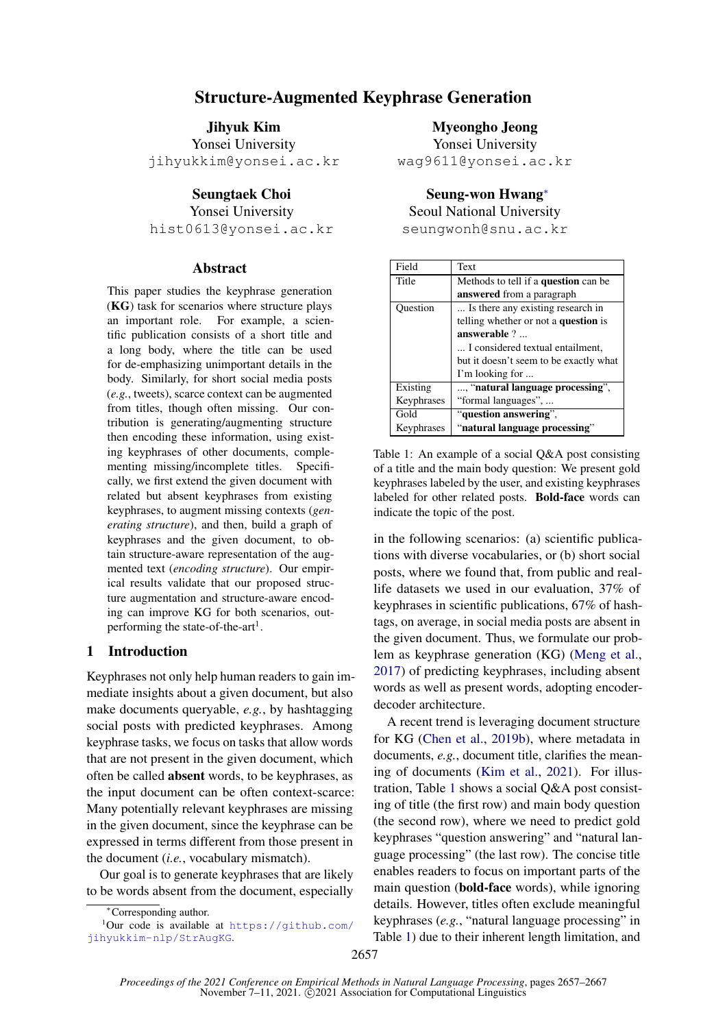# Structure-Augmented Keyphrase Generation

Jihyuk Kim Yonsei University jihyukkim@yonsei.ac.kr

### Seungtaek Choi

Yonsei University

hist0613@yonsei.ac.kr

### Abstract

This paper studies the keyphrase generation (KG) task for scenarios where structure plays an important role. For example, a scientific publication consists of a short title and a long body, where the title can be used for de-emphasizing unimportant details in the body. Similarly, for short social media posts (*e.g.*, tweets), scarce context can be augmented from titles, though often missing. Our contribution is generating/augmenting structure then encoding these information, using existing keyphrases of other documents, complementing missing/incomplete titles. Specifically, we first extend the given document with related but absent keyphrases from existing keyphrases, to augment missing contexts (*generating structure*), and then, build a graph of keyphrases and the given document, to obtain structure-aware representation of the augmented text (*encoding structure*). Our empirical results validate that our proposed structure augmentation and structure-aware encoding can improve KG for both scenarios, out-performing the state-of-the-art<sup>[1](#page-0-0)</sup>.

# 1 Introduction

Keyphrases not only help human readers to gain immediate insights about a given document, but also make documents queryable, *e.g.*, by hashtagging social posts with predicted keyphrases. Among keyphrase tasks, we focus on tasks that allow words that are not present in the given document, which often be called absent words, to be keyphrases, as the input document can be often context-scarce: Many potentially relevant keyphrases are missing in the given document, since the keyphrase can be expressed in terms different from those present in the document (*i.e.*, vocabulary mismatch).

Our goal is to generate keyphrases that are likely to be words absent from the document, especially

Myeongho Jeong

Yonsei University wag9611@yonsei.ac.kr

Seung-won Hwang<sup>∗</sup>

Seoul National University

seungwonh@snu.ac.kr

<span id="page-0-1"></span>

| Field      | Text                                   |
|------------|----------------------------------------|
| Title      | Methods to tell if a question can be   |
|            | <b>answered</b> from a paragraph       |
| Ouestion   | Is there any existing research in      |
|            | telling whether or not a question is   |
|            | answerable?                            |
|            | I considered textual entailment.       |
|            | but it doesn't seem to be exactly what |
|            | I'm looking for                        |
| Existing   | , "natural language processing",       |
| Keyphrases | "formal languages",                    |
| Gold       | "question answering",                  |
| Keyphrases | "natural language processing"          |

Table 1: An example of a social Q&A post consisting of a title and the main body question: We present gold keyphrases labeled by the user, and existing keyphrases labeled for other related posts. Bold-face words can indicate the topic of the post.

in the following scenarios: (a) scientific publications with diverse vocabularies, or (b) short social posts, where we found that, from public and reallife datasets we used in our evaluation, 37% of keyphrases in scientific publications, 67% of hashtags, on average, in social media posts are absent in the given document. Thus, we formulate our problem as keyphrase generation (KG) [\(Meng et al.,](#page-9-0) [2017\)](#page-9-0) of predicting keyphrases, including absent words as well as present words, adopting encoderdecoder architecture.

A recent trend is leveraging document structure for KG [\(Chen et al.,](#page-8-0) [2019b\)](#page-8-0), where metadata in documents, *e.g.*, document title, clarifies the meaning of documents [\(Kim et al.,](#page-9-1) [2021\)](#page-9-1). For illustration, Table [1](#page-0-1) shows a social Q&A post consisting of title (the first row) and main body question (the second row), where we need to predict gold keyphrases "question answering" and "natural language processing" (the last row). The concise title enables readers to focus on important parts of the main question (bold-face words), while ignoring details. However, titles often exclude meaningful keyphrases (*e.g.*, "natural language processing" in Table [1\)](#page-0-1) due to their inherent length limitation, and

<span id="page-0-0"></span><sup>∗</sup>Corresponding author.

 $1$ Our code is available at [https://github.com/](https://github.com/jihyukkim-nlp/StrAugKG) [jihyukkim-nlp/StrAugKG](https://github.com/jihyukkim-nlp/StrAugKG).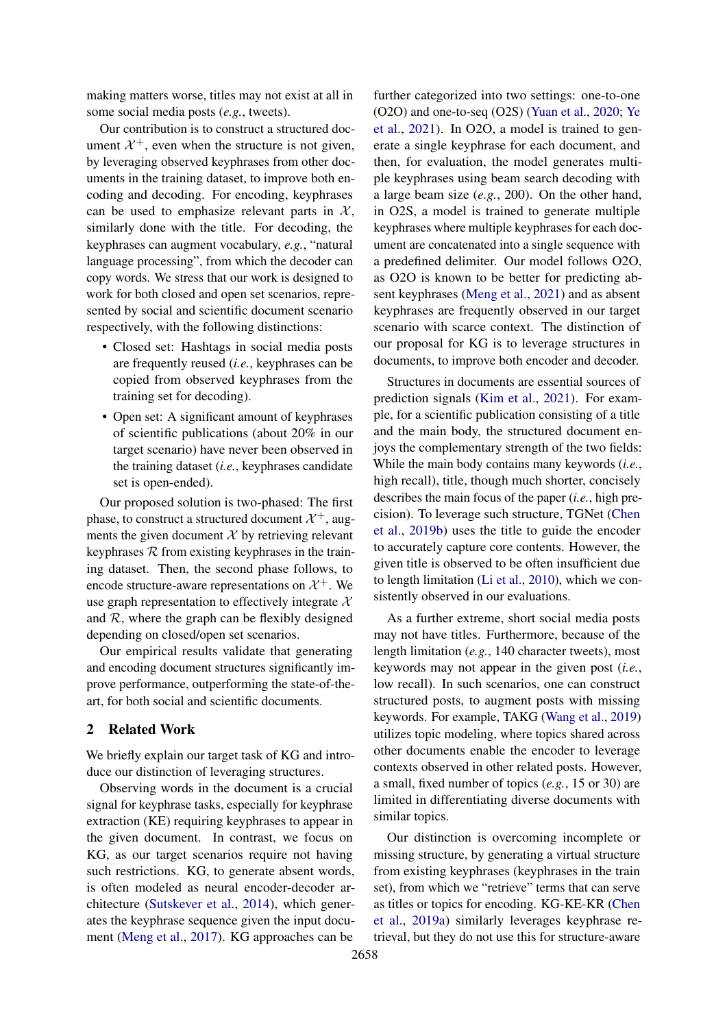making matters worse, titles may not exist at all in some social media posts (*e.g.*, tweets).

Our contribution is to construct a structured document  $\mathcal{X}^+$ , even when the structure is not given, by leveraging observed keyphrases from other documents in the training dataset, to improve both encoding and decoding. For encoding, keyphrases can be used to emphasize relevant parts in  $\mathcal{X}$ , similarly done with the title. For decoding, the keyphrases can augment vocabulary, *e.g.*, "natural language processing", from which the decoder can copy words. We stress that our work is designed to work for both closed and open set scenarios, represented by social and scientific document scenario respectively, with the following distinctions:

- Closed set: Hashtags in social media posts are frequently reused (*i.e.*, keyphrases can be copied from observed keyphrases from the training set for decoding).
- Open set: A significant amount of keyphrases of scientific publications (about 20% in our target scenario) have never been observed in the training dataset (*i.e.*, keyphrases candidate set is open-ended).

Our proposed solution is two-phased: The first phase, to construct a structured document  $\mathcal{X}^+$ , augments the given document  $X$  by retrieving relevant keyphrases  $R$  from existing keyphrases in the training dataset. Then, the second phase follows, to encode structure-aware representations on  $\mathcal{X}^+$ . We use graph representation to effectively integrate  $X$ and  $R$ , where the graph can be flexibly designed depending on closed/open set scenarios.

Our empirical results validate that generating and encoding document structures significantly improve performance, outperforming the state-of-theart, for both social and scientific documents.

### 2 Related Work

We briefly explain our target task of KG and introduce our distinction of leveraging structures.

Observing words in the document is a crucial signal for keyphrase tasks, especially for keyphrase extraction (KE) requiring keyphrases to appear in the given document. In contrast, we focus on KG, as our target scenarios require not having such restrictions. KG, to generate absent words, is often modeled as neural encoder-decoder architecture [\(Sutskever et al.,](#page-10-0) [2014\)](#page-10-0), which generates the keyphrase sequence given the input document [\(Meng et al.,](#page-9-0) [2017\)](#page-9-0). KG approaches can be

further categorized into two settings: one-to-one (O2O) and one-to-seq (O2S) [\(Yuan et al.,](#page-10-1) [2020;](#page-10-1) [Ye](#page-10-2) [et al.,](#page-10-2) [2021\)](#page-10-2). In O2O, a model is trained to generate a single keyphrase for each document, and then, for evaluation, the model generates multiple keyphrases using beam search decoding with a large beam size (*e.g.*, 200). On the other hand, in O2S, a model is trained to generate multiple keyphrases where multiple keyphrases for each document are concatenated into a single sequence with a predefined delimiter. Our model follows O2O, as O2O is known to be better for predicting absent keyphrases [\(Meng et al.,](#page-9-2) [2021\)](#page-9-2) and as absent keyphrases are frequently observed in our target scenario with scarce context. The distinction of our proposal for KG is to leverage structures in documents, to improve both encoder and decoder.

Structures in documents are essential sources of prediction signals [\(Kim et al.,](#page-9-1) [2021\)](#page-9-1). For example, for a scientific publication consisting of a title and the main body, the structured document enjoys the complementary strength of the two fields: While the main body contains many keywords (*i.e.*, high recall), title, though much shorter, concisely describes the main focus of the paper (*i.e.*, high precision). To leverage such structure, TGNet [\(Chen](#page-8-0) [et al.,](#page-8-0) [2019b\)](#page-8-0) uses the title to guide the encoder to accurately capture core contents. However, the given title is observed to be often insufficient due to length limitation [\(Li et al.,](#page-9-3) [2010\)](#page-9-3), which we consistently observed in our evaluations.

As a further extreme, short social media posts may not have titles. Furthermore, because of the length limitation (*e.g.*, 140 character tweets), most keywords may not appear in the given post (*i.e.*, low recall). In such scenarios, one can construct structured posts, to augment posts with missing keywords. For example, TAKG [\(Wang et al.,](#page-10-3) [2019\)](#page-10-3) utilizes topic modeling, where topics shared across other documents enable the encoder to leverage contexts observed in other related posts. However, a small, fixed number of topics (*e.g.*, 15 or 30) are limited in differentiating diverse documents with similar topics.

Our distinction is overcoming incomplete or missing structure, by generating a virtual structure from existing keyphrases (keyphrases in the train set), from which we "retrieve" terms that can serve as titles or topics for encoding. KG-KE-KR [\(Chen](#page-8-1) [et al.,](#page-8-1) [2019a\)](#page-8-1) similarly leverages keyphrase retrieval, but they do not use this for structure-aware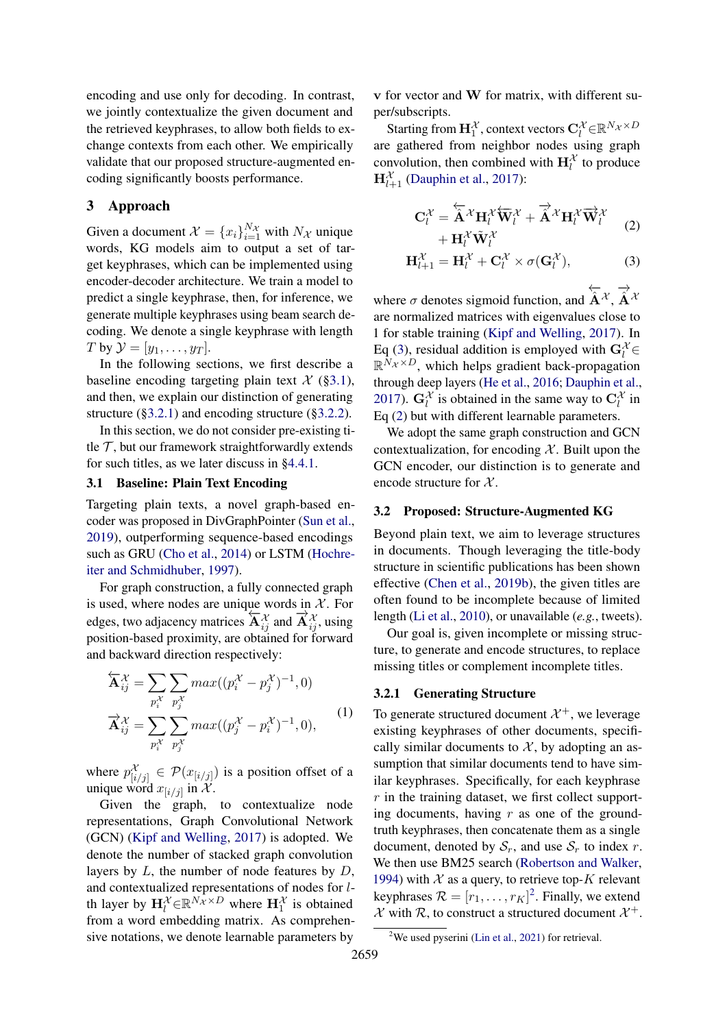encoding and use only for decoding. In contrast, we jointly contextualize the given document and the retrieved keyphrases, to allow both fields to exchange contexts from each other. We empirically validate that our proposed structure-augmented encoding significantly boosts performance.

### 3 Approach

Given a document  $\mathcal{X} = \{x_i\}_{i=1}^{N_{\mathcal{X}}}$  with  $N_{\mathcal{X}}$  unique words, KG models aim to output a set of target keyphrases, which can be implemented using encoder-decoder architecture. We train a model to predict a single keyphrase, then, for inference, we generate multiple keyphrases using beam search decoding. We denote a single keyphrase with length T by  $\mathcal{Y} = [y_1, \ldots, y_T]$ .

In the following sections, we first describe a baseline encoding targeting plain text  $\mathcal{X}$  ([§3.1\)](#page-2-0), and then, we explain our distinction of generating structure ([§3.2.1\)](#page-2-1) and encoding structure ([§3.2.2\)](#page-3-0).

In this section, we do not consider pre-existing title  $\mathcal T$ , but our framework straightforwardly extends for such titles, as we later discuss in [§4.4.1.](#page-7-0)

### <span id="page-2-0"></span>3.1 Baseline: Plain Text Encoding

Targeting plain texts, a novel graph-based encoder was proposed in DivGraphPointer [\(Sun et al.,](#page-10-4) [2019\)](#page-10-4), outperforming sequence-based encodings such as GRU [\(Cho et al.,](#page-8-2) [2014\)](#page-8-2) or LSTM [\(Hochre](#page-9-4)[iter and Schmidhuber,](#page-9-4) [1997\)](#page-9-4).

For graph construction, a fully connected graph is used, where nodes are unique words in  $X$ . For edges, two adjacency matrices  $\overleftrightarrow{A}_{ij}^{\chi}$  and  $\overrightarrow{A}_{ij}^{\chi}$ , using position-based proximity, are obtained for forward and backward direction respectively:

$$
\overleftarrow{\mathbf{A}}_{ij}^{\mathcal{X}} = \sum_{p_i^{\mathcal{X}}} \sum_{p_j^{\mathcal{X}}} max((p_i^{\mathcal{X}} - p_j^{\mathcal{X}})^{-1}, 0)
$$
  

$$
\overrightarrow{\mathbf{A}}_{ij}^{\mathcal{X}} = \sum_{p_i^{\mathcal{X}}} \sum_{p_j^{\mathcal{X}}} max((p_j^{\mathcal{X}} - p_i^{\mathcal{X}})^{-1}, 0),
$$
 (1)

where  $p_{[i/j]}^{\mathcal{X}} \in \mathcal{P}(x_{[i/j]})$  is a position offset of a unique word  $x_{[i/j]}$  in X.

Given the graph, to contextualize node representations, Graph Convolutional Network (GCN) [\(Kipf and Welling,](#page-9-5) [2017\)](#page-9-5) is adopted. We denote the number of stacked graph convolution layers by  $L$ , the number of node features by  $D$ , and contextualized representations of nodes for lth layer by  $\mathbf{H}_{l}^{\mathcal{X}} \in \mathbb{R}^{N_{\mathcal{X}} \times D}$  where  $\mathbf{H}_{1}^{\mathcal{X}}$  is obtained from a word embedding matrix. As comprehensive notations, we denote learnable parameters by

v for vector and W for matrix, with different super/subscripts.

Starting from  $\mathbf{H}_1^{\mathcal{X}}$ , context vectors  $\mathbf{C}_l^{\mathcal{X}} {\in} \mathbb{R}^{N_{\mathcal{X}} \times D}$ are gathered from neighbor nodes using graph convolution, then combined with  $H_l^{\mathcal{X}}$  to produce  $\mathbf{H}_{l+1}^{\mathcal{X}}$  [\(Dauphin et al.,](#page-9-6) [2017\)](#page-9-6):

<span id="page-2-3"></span><span id="page-2-2"></span>
$$
\mathbf{C}_{l}^{\mathcal{X}} = \overleftarrow{\mathbf{\hat{A}}}^{\mathcal{X}} \mathbf{H}_{l}^{\mathcal{X}} \overleftarrow{\mathbf{W}}_{l}^{\mathcal{X}} + \overrightarrow{\mathbf{A}}^{\mathcal{X}} \mathbf{H}_{l}^{\mathcal{X}} \overrightarrow{\mathbf{W}}_{l}^{\mathcal{X}} + \mathbf{H}_{l}^{\mathcal{X}} \overrightarrow{\mathbf{W}}_{l}^{\mathcal{X}} \tag{2}
$$

$$
\mathbf{H}_{l+1}^{\mathcal{X}} = \mathbf{H}_l^{\mathcal{X}} + \mathbf{C}_l^{\mathcal{X}} \times \sigma(\mathbf{G}_l^{\mathcal{X}}), \tag{3}
$$

where  $\sigma$  denotes sigmoid function, and  $\overleftarrow{\mathbf{A}}^{\mathcal{X}}, \overrightarrow{\mathbf{A}}^{\mathcal{X}}$ are normalized matrices with eigenvalues close to 1 for stable training [\(Kipf and Welling,](#page-9-5) [2017\)](#page-9-5). In Eq [\(3\)](#page-2-2), residual addition is employed with  $G_l^{\mathcal{X}}$  $\mathbb{R}^{N_{\mathcal{X}} \times D}$ , which helps gradient back-propagation through deep layers [\(He et al.,](#page-9-7) [2016;](#page-9-7) [Dauphin et al.,](#page-9-6) [2017\)](#page-9-6).  $G_l^{\mathcal{X}}$  is obtained in the same way to  $C_l^{\mathcal{X}}$  in Eq [\(2\)](#page-2-3) but with different learnable parameters.

We adopt the same graph construction and GCN contextualization, for encoding  $X$ . Built upon the GCN encoder, our distinction is to generate and encode structure for  $X$ .

#### 3.2 Proposed: Structure-Augmented KG

Beyond plain text, we aim to leverage structures in documents. Though leveraging the title-body structure in scientific publications has been shown effective [\(Chen et al.,](#page-8-0) [2019b\)](#page-8-0), the given titles are often found to be incomplete because of limited length [\(Li et al.,](#page-9-3) [2010\)](#page-9-3), or unavailable (*e.g.*, tweets).

Our goal is, given incomplete or missing structure, to generate and encode structures, to replace missing titles or complement incomplete titles.

#### <span id="page-2-5"></span><span id="page-2-1"></span>3.2.1 Generating Structure

To generate structured document  $\mathcal{X}^+$ , we leverage existing keyphrases of other documents, specifically similar documents to  $X$ , by adopting an assumption that similar documents tend to have similar keyphrases. Specifically, for each keyphrase  $r$  in the training dataset, we first collect supporting documents, having  $r$  as one of the groundtruth keyphrases, then concatenate them as a single document, denoted by  $S_r$ , and use  $S_r$  to index r. We then use BM25 search [\(Robertson and Walker,](#page-9-8) [1994\)](#page-9-8) with  $X$  as a query, to retrieve top-K relevant keyphrases  $\mathcal{R} = [r_1, \dots, r_K]^2$  $\mathcal{R} = [r_1, \dots, r_K]^2$ . Finally, we extend  $\mathcal{X}$  with  $\mathcal{R}$ , to construct a structured document  $\mathcal{X}^+$ .

<span id="page-2-4"></span><sup>&</sup>lt;sup>2</sup>We used pyserini [\(Lin et al.,](#page-9-9) [2021\)](#page-9-9) for retrieval.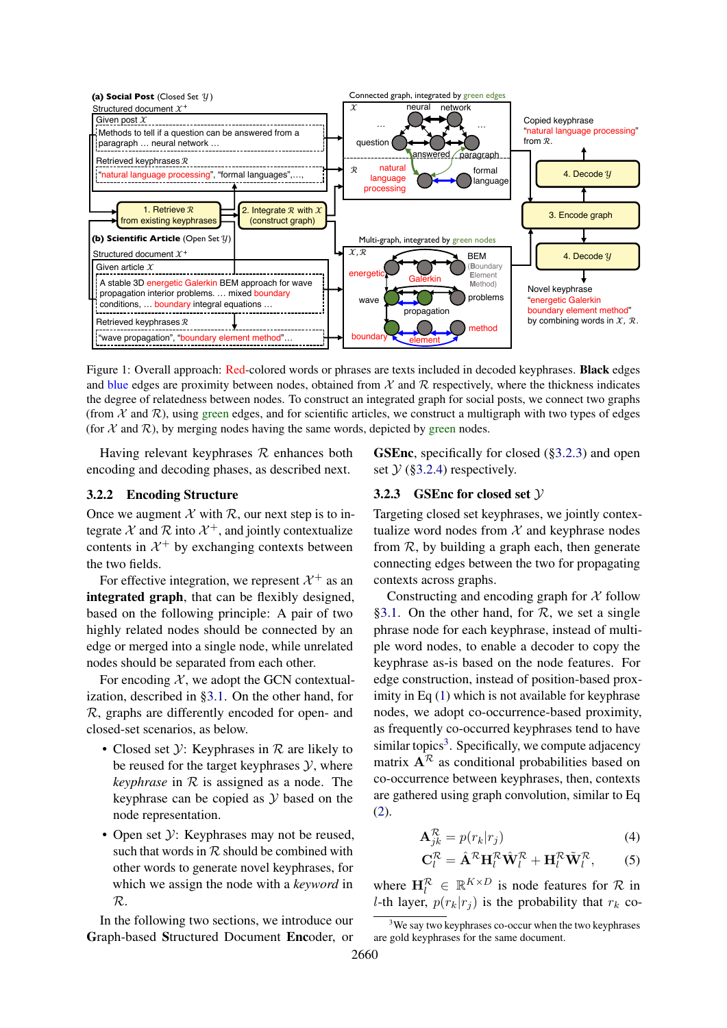<span id="page-3-3"></span>

Figure 1: Overall approach: Red-colored words or phrases are texts included in decoded keyphrases. Black edges and blue edges are proximity between nodes, obtained from  $X$  and  $\mathcal R$  respectively, where the thickness indicates the degree of relatedness between nodes. To construct an integrated graph for social posts, we connect two graphs (from  $\mathcal X$  and  $\mathcal R$ ), using green edges, and for scientific articles, we construct a multigraph with two types of edges (for  $X$  and  $\mathcal{R}$ ), by merging nodes having the same words, depicted by green nodes.

Having relevant keyphrases  $R$  enhances both encoding and decoding phases, as described next.

# <span id="page-3-0"></span>3.2.2 Encoding Structure

Once we augment  $\mathcal X$  with  $\mathcal R$ , our next step is to integrate X and R into  $\mathcal{X}^+$ , and jointly contextualize contents in  $\mathcal{X}^+$  by exchanging contexts between the two fields.

For effective integration, we represent  $\mathcal{X}^+$  as an integrated graph, that can be flexibly designed, based on the following principle: A pair of two highly related nodes should be connected by an edge or merged into a single node, while unrelated nodes should be separated from each other.

For encoding  $X$ , we adopt the GCN contextualization, described in [§3.1.](#page-2-0) On the other hand, for R, graphs are differently encoded for open- and closed-set scenarios, as below.

- Closed set  $\mathcal{Y}$ : Keyphrases in  $\mathcal{R}$  are likely to be reused for the target keyphrases  $\mathcal{Y}$ , where *keyphrase* in R is assigned as a node. The keyphrase can be copied as  $Y$  based on the node representation.
- Open set  $\mathcal{Y}$ : Keyphrases may not be reused, such that words in  $R$  should be combined with other words to generate novel keyphrases, for which we assign the node with a *keyword* in R.

In the following two sections, we introduce our Graph-based Structured Document Encoder, or GSEnc, specifically for closed ([§3.2.3\)](#page-3-1) and open set  $\mathcal{Y}$  ([§3.2.4\)](#page-4-0) respectively.

# <span id="page-3-1"></span>3.2.3 GSEnc for closed set Y

Targeting closed set keyphrases, we jointly contextualize word nodes from  $X$  and keyphrase nodes from  $R$ , by building a graph each, then generate connecting edges between the two for propagating contexts across graphs.

Constructing and encoding graph for  $\chi$  follow [§3.1.](#page-2-0) On the other hand, for  $R$ , we set a single phrase node for each keyphrase, instead of multiple word nodes, to enable a decoder to copy the keyphrase as-is based on the node features. For edge construction, instead of position-based proximity in Eq [\(1\)](#page-2-5) which is not available for keyphrase nodes, we adopt co-occurrence-based proximity, as frequently co-occurred keyphrases tend to have similar topics<sup>[3](#page-3-2)</sup>. Specifically, we compute adjacency matrix  $A^R$  as conditional probabilities based on co-occurrence between keyphrases, then, contexts are gathered using graph convolution, similar to Eq [\(2\)](#page-2-3).

$$
\mathbf{A}_{jk}^{\mathcal{R}} = p(r_k|r_j) \tag{4}
$$

$$
\mathbf{C}_l^{\mathcal{R}} = \hat{\mathbf{A}}^{\mathcal{R}} \mathbf{H}_l^{\mathcal{R}} \hat{\mathbf{W}}_l^{\mathcal{R}} + \mathbf{H}_l^{\mathcal{R}} \tilde{\mathbf{W}}_l^{\mathcal{R}}, \qquad (5)
$$

where  $\mathbf{H}_{l}^{\mathcal{R}} \in \mathbb{R}^{K \times D}$  is node features for  $\mathcal{R}$  in l-th layer,  $p(r_k|r_i)$  is the probability that  $r_k$  co-

<span id="page-3-2"></span> $3W$ e say two keyphrases co-occur when the two keyphrases are gold keyphrases for the same document.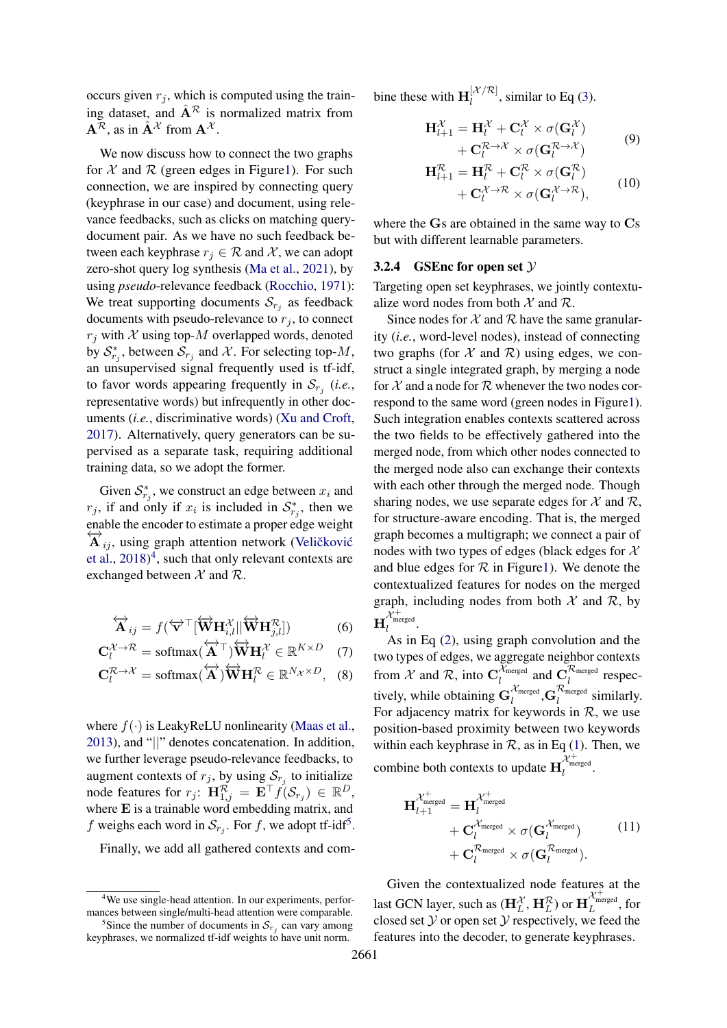occurs given  $r<sub>i</sub>$ , which is computed using the training dataset, and  $\hat{A}^{\mathcal{R}}$  is normalized matrix from  $\mathbf{A}^{\mathcal{R}}$ , as in  $\hat{\mathbf{A}}^{\mathcal{X}}$  from  $\mathbf{A}^{\mathcal{X}}$ .

We now discuss how to connect the two graphs for  $X$  and  $R$  (green edges in Figur[e1\)](#page-3-3). For such connection, we are inspired by connecting query (keyphrase in our case) and document, using relevance feedbacks, such as clicks on matching querydocument pair. As we have no such feedback between each keyphrase  $r_j \in \mathcal{R}$  and  $\mathcal{X}$ , we can adopt zero-shot query log synthesis [\(Ma et al.,](#page-9-10) [2021\)](#page-9-10), by using *pseudo*-relevance feedback [\(Rocchio,](#page-9-11) [1971\)](#page-9-11): We treat supporting documents  $S_{r_j}$  as feedback documents with pseudo-relevance to  $r_j$ , to connect  $r_i$  with X using top-M overlapped words, denoted by  $S_{r_j}^*$ , between  $S_{r_j}$  and X. For selecting top-M, an unsupervised signal frequently used is tf-idf, to favor words appearing frequently in  $S_{r_j}$  (*i.e.*, representative words) but infrequently in other documents (*i.e.*, discriminative words) [\(Xu and Croft,](#page-10-5) [2017\)](#page-10-5). Alternatively, query generators can be supervised as a separate task, requiring additional training data, so we adopt the former.

Given  $S_{r_j}^*$ , we construct an edge between  $x_i$  and  $r_j$ , if and only if  $x_i$  is included in  $S^*_{r_j}$ , then we enable the encoder to estimate a proper edge weight  $\overleftrightarrow{A}_{ij}$ , using graph attention network (Veličković [et al.,](#page-10-6) [2018\)](#page-10-6) [4](#page-4-1) , such that only relevant contexts are exchanged between  $\mathcal X$  and  $\mathcal R$ .

$$
\overleftrightarrow{\mathbf{A}}_{ij} = f(\overleftrightarrow{\mathbf{v}}^{\top}[\overleftrightarrow{\mathbf{W}}\mathbf{H}_{i,l}^{\mathcal{X}}||\overleftrightarrow{\mathbf{W}}\mathbf{H}_{j,l}^{\mathcal{R}}])
$$
(6)

$$
\mathbf{C}_l^{\mathcal{X}\to\mathcal{R}} = \text{softmax}(\overleftrightarrow{\mathbf{A}}^{\top})\overleftrightarrow{\mathbf{W}}\mathbf{H}_l^{\mathcal{X}} \in \mathbb{R}^{K \times D} \quad (7)
$$

$$
\mathbf{C}_l^{\mathcal{R}\to\mathcal{X}}=\text{softmax}(\overleftrightarrow{\mathbf{A}})\overleftrightarrow{\mathbf{W}}\mathbf{H}_l^{\mathcal{R}}\in\mathbb{R}^{N_{\mathcal{X}}\times D},\quad(8)
$$

where  $f(\cdot)$  is LeakyReLU nonlinearity [\(Maas et al.,](#page-9-12) [2013\)](#page-9-12), and "||" denotes concatenation. In addition, we further leverage pseudo-relevance feedbacks, to augment contexts of  $r_j$ , by using  $S_{r_j}$  to initialize node features for  $r_j$ :  $\mathbf{H}_{1,j}^{\mathcal{R}} = \mathbf{E}^{\top} f(\mathcal{S}_{r_j}) \in \mathbb{R}^D$ , where E is a trainable word embedding matrix, and f weighs each word in  $S_{r_j}$ . For f, we adopt tf-idf<sup>[5](#page-4-2)</sup>.

Finally, we add all gathered contexts and com-

bine these with  $\mathbf{H}_{l}^{[\mathcal{X}/\mathcal{R}]}$  $\lim_{l}$  in Similar to Eq [\(3\)](#page-2-2).

<span id="page-4-3"></span>
$$
\mathbf{H}_{l+1}^{\mathcal{X}} = \mathbf{H}_l^{\mathcal{X}} + \mathbf{C}_l^{\mathcal{X}} \times \sigma(\mathbf{G}_l^{\mathcal{X}}) + \mathbf{C}_l^{\mathcal{R}\rightarrow\mathcal{X}} \times \sigma(\mathbf{G}_l^{\mathcal{R}\rightarrow\mathcal{X}})
$$
(9)

$$
\mathbf{H}_{l+1}^{\mathcal{R}} = \mathbf{H}_{l}^{\mathcal{R}} + \mathbf{C}_{l}^{\mathcal{R}} \times \sigma(\mathbf{G}_{l}^{\mathcal{R}})
$$
  
+ 
$$
\mathbf{C}_{l}^{\mathcal{X}\rightarrow\mathcal{R}} \times \sigma(\mathbf{G}_{l}^{\mathcal{X}\rightarrow\mathcal{R}}),
$$
 (10)

where the Gs are obtained in the same way to Cs but with different learnable parameters.

#### <span id="page-4-0"></span>3.2.4 GSEnc for open set  $\mathcal Y$

Targeting open set keyphrases, we jointly contextualize word nodes from both  $\mathcal X$  and  $\mathcal R$ .

Since nodes for  $X$  and  $R$  have the same granularity (*i.e.*, word-level nodes), instead of connecting two graphs (for  $X$  and  $\mathcal{R}$ ) using edges, we construct a single integrated graph, by merging a node for  $X$  and a node for  $R$  whenever the two nodes correspond to the same word (green nodes in Figur[e1\)](#page-3-3). Such integration enables contexts scattered across the two fields to be effectively gathered into the merged node, from which other nodes connected to the merged node also can exchange their contexts with each other through the merged node. Though sharing nodes, we use separate edges for  $\mathcal X$  and  $\mathcal R$ , for structure-aware encoding. That is, the merged graph becomes a multigraph; we connect a pair of nodes with two types of edges (black edges for  $\mathcal{X}$ and blue edges for  $R$  in Figur[e1\)](#page-3-3). We denote the contextualized features for nodes on the merged graph, including nodes from both  $X$  and  $\mathcal{R}$ , by  $\mathbf{H}_{l}^{\mathcal{X}^+_{\text{merged}}}.$ 

As in Eq [\(2\)](#page-2-3), using graph convolution and the two types of edges, we aggregate neighbor contexts from X and R, into  $C_l^{\tilde{\mathcal{X}}_{\text{merged}}}$  $\frac{\lambda_{\text{merged}}}{l}$  and  $\mathbf{C}_{l}^{\mathcal{R}_{\text{merged}}}$  $\sum_{l}^{K_{\text{merged}}}$  respectively, while obtaining  $G_l^{\chi_{\text{merged}}}$  $\alpha_l^{\mathcal{R}_{\text{merged}}}$ nerged  $\sum_{l}^{\text{Comerged}}$  similarly. For adjacency matrix for keywords in  $R$ , we use position-based proximity between two keywords within each keyphrase in  $\mathcal{R}$ , as in Eq [\(1\)](#page-2-5). Then, we combine both contexts to update  $\mathbf{H}_{l}^{\mathcal{X}_{\text{merged}}^{+}}$ .

$$
\mathbf{H}_{l+1}^{\mathcal{X}_{\text{merged}}^{+}} = \mathbf{H}_{l}^{\mathcal{X}_{\text{merged}}^{+}} \times \sigma(\mathbf{G}_{l}^{\mathcal{X}_{\text{merged}}}) \qquad (11)
$$

$$
+ \mathbf{C}_{l}^{\mathcal{X}_{\text{merged}}} \times \sigma(\mathbf{G}_{l}^{\mathcal{X}_{\text{merged}}}) \qquad (12)
$$

$$
+ \mathbf{C}_{l}^{\mathcal{R}_{\text{merged}}} \times \sigma(\mathbf{G}_{l}^{\mathcal{R}_{\text{merged}}}).
$$

Given the contextualized node features at the last GCN layer, such as  $(\mathbf{H}_{L}^{\mathcal{X}},\mathbf{H}_{L}^{\mathcal{R}})$  or  $\mathbf{H}_{L}^{\mathcal{X}^{+}_{\text{merged}}},$  for closed set  $Y$  or open set  $Y$  respectively, we feed the features into the decoder, to generate keyphrases.

<span id="page-4-1"></span><sup>&</sup>lt;sup>4</sup>We use single-head attention. In our experiments, performances between single/multi-head attention were comparable. <sup>5</sup>Since the number of documents in  $S_{r_j}$  can vary among

<span id="page-4-2"></span>keyphrases, we normalized tf-idf weights to have unit norm.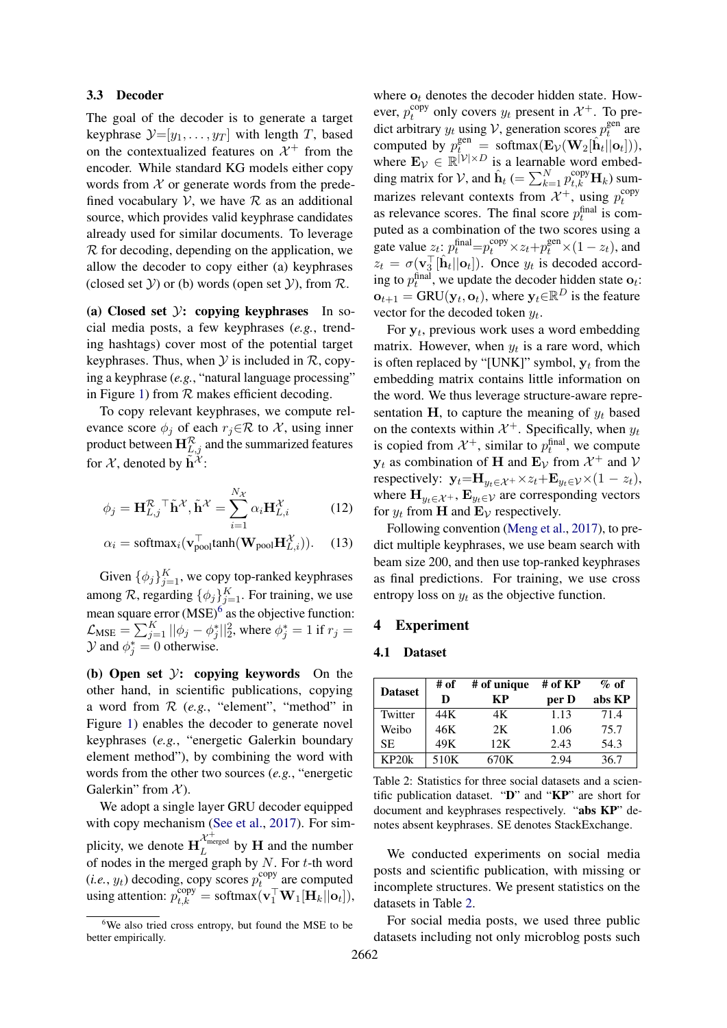#### 3.3 Decoder

The goal of the decoder is to generate a target keyphrase  $\mathcal{Y}=[y_1,\ldots,y_T]$  with length T, based on the contextualized features on  $\mathcal{X}^+$  from the encoder. While standard KG models either copy words from  $X$  or generate words from the predefined vocabulary  $V$ , we have  $R$  as an additional source, which provides valid keyphrase candidates already used for similar documents. To leverage  $R$  for decoding, depending on the application, we allow the decoder to copy either (a) keyphrases (closed set  $Y$ ) or (b) words (open set  $Y$ ), from  $\mathcal{R}$ .

(a) Closed set  $\mathcal{Y}$ : copying keyphrases In social media posts, a few keyphrases (*e.g.*, trending hashtags) cover most of the potential target keyphrases. Thus, when  $Y$  is included in  $R$ , copying a keyphrase (*e.g.*, "natural language processing" in Figure [1\)](#page-3-3) from  $R$  makes efficient decoding.

To copy relevant keyphrases, we compute relevance score  $\phi_i$  of each  $r_i \in \mathcal{R}$  to X, using inner product between  $\mathbf{H}^{\mathcal{R}}_{L,j}$  and the summarized features for X, denoted by  $\tilde{\mathbf{h}}^{\tilde{\mathcal{X}}}$ :

$$
\phi_j = \mathbf{H}_{L,j}^{\mathcal{R}} \mathbf{I} \tilde{\mathbf{h}}^{\mathcal{X}}, \tilde{\mathbf{h}}^{\mathcal{X}} = \sum_{i=1}^{N_{\mathcal{X}}} \alpha_i \mathbf{H}_{L,i}^{\mathcal{X}}
$$
(12)

$$
\alpha_i = \text{softmax}_i(\mathbf{v}_{\text{pool}}^{\top} \text{tanh}(\mathbf{W}_{\text{pool}} \mathbf{H}_{L,i}^{\mathcal{X}})). \quad (13)
$$

Given  $\{\phi_j\}_{j=1}^K$ , we copy top-ranked keyphrases among  $\mathcal{R}$ , regarding  $\{\phi_j\}_{j=1}^K$ . For training, we use mean square error  $(MSE)^6$  $(MSE)^6$  as the objective function:  $\mathcal{L}_{MSE} = \sum_{j=1}^{K} ||\phi_j - \phi_j^*||_2^2$ , where  $\phi_j^* = 1$  if  $r_j =$  $\mathcal{Y}$  and  $\phi_j^* = 0$  otherwise.

(b) Open set  $\mathcal{Y}$ : copying keywords On the other hand, in scientific publications, copying a word from R (*e.g.*, "element", "method" in Figure [1\)](#page-3-3) enables the decoder to generate novel keyphrases (*e.g.*, "energetic Galerkin boundary element method"), by combining the word with words from the other two sources (*e.g.*, "energetic Galerkin" from  $\mathcal{X}$ ).

We adopt a single layer GRU decoder equipped with copy mechanism [\(See et al.,](#page-9-13) [2017\)](#page-9-13). For simplicity, we denote  $\mathbf{H}_{L}^{\mathcal{X}_{\text{int?}}^+}$  by **H** and the number of nodes in the merged graph by  $N$ . For  $t$ -th word  $(i.e., y_t)$  decoding, copy scores  $p_t^{\text{copy}}$  $t_{t}^{\text{copy}}$  are computed using attention:  $p_{t,k}^{\text{copy}} = \text{softmax}(\mathbf{v}_1^{\top} \mathbf{W}_1[\mathbf{H}_k || \mathbf{o}_t]),$ 

where  $\mathbf{o}_t$  denotes the decoder hidden state. However,  $p_t^{\text{copy}}$ <sup>copy</sup> only covers  $y_t$  present in  $\mathcal{X}^+$ . To predict arbitrary  $y_t$  using V, generation scores  $p_t^{\text{gen}}$  $t_t^{\text{gen}}$  are computed by  $p_t^{\text{gen}} = \text{softmax}(\mathbf{E}_{\mathcal{V}}(\mathbf{W}_2[\hat{\mathbf{h}}_t||\mathbf{o}_t])),$ where  $\mathbf{E}_{\mathcal{V}} \in \mathbb{R}^{|\mathcal{V}| \times D}$  is a learnable word embedding matrix for V, and  $\hat{\mathbf{h}}_t$  (=  $\sum_{k=1}^{N} p_{t,k}^{\text{copy}} \mathbf{H}_k$ ) summarizes relevant contexts from  $\mathcal{X}^+$ , using  $p_t^{\text{copy}}$ t as relevance scores. The final score  $p_t^{\text{final}}$  is computed as a combination of the two scores using a gate value  $z_t$ :  $p_t^{\text{final}} = p_t^{\text{copy}} \times z_t + p_t^{\text{gen}} \times (1 - z_t)$ , and  $z_t = \sigma(\mathbf{v}_3^{\top}[\hat{\mathbf{h}}_t || \mathbf{o}_t])$ . Once  $y_t$  is decoded according to  $p_t^{\text{final}}$ , we update the decoder hidden state  $o_t$ :  $\mathbf{o}_{t+1} = \text{GRU}(\mathbf{y}_t, \mathbf{o}_t)$ , where  $\mathbf{y}_t \in \mathbb{R}^D$  is the feature vector for the decoded token  $y_t$ .

For  $y_t$ , previous work uses a word embedding matrix. However, when  $y_t$  is a rare word, which is often replaced by "[UNK]" symbol,  $y_t$  from the embedding matrix contains little information on the word. We thus leverage structure-aware representation H, to capture the meaning of  $y_t$  based on the contexts within  $\mathcal{X}^+$ . Specifically, when  $y_t$ is copied from  $\mathcal{X}^+$ , similar to  $p_t^{\text{final}}$ , we compute  $y_t$  as combination of H and  $E_{\mathcal{V}}$  from  $\mathcal{X}^+$  and  $\mathcal{V}$ respectively:  $\mathbf{y}_t = \mathbf{H}_{y_t \in \mathcal{X}^+} \times z_t + \mathbf{E}_{y_t \in \mathcal{V}} \times (1 - z_t),$ where  $\mathbf{H}_{y_t \in \mathcal{X}^+}$ ,  $\mathbf{E}_{y_t \in \mathcal{V}}$  are corresponding vectors for  $y_t$  from **H** and  $\mathbf{E}_{\mathcal{V}}$  respectively.

Following convention [\(Meng et al.,](#page-9-0) [2017\)](#page-9-0), to predict multiple keyphrases, we use beam search with beam size 200, and then use top-ranked keyphrases as final predictions. For training, we use cross entropy loss on  $y_t$  as the objective function.

### 4 Experiment

### 4.1 Dataset

<span id="page-5-1"></span>

|                | # of | # of unique | # of KP | $\%$ of |  |
|----------------|------|-------------|---------|---------|--|
| <b>Dataset</b> | D    | KР          | per D   | abs KP  |  |
| Twitter        | 44K  | 4Κ          | 1.13    | 71.4    |  |
| Weibo          | 46K  | 2K          | 1.06    | 75.7    |  |
| <b>SE</b>      | 49K  | 12K         | 2.43    | 54.3    |  |
| KP20k          | 510K | 670K        | 2.94    | 36.7    |  |

Table 2: Statistics for three social datasets and a scientific publication dataset. "D" and "KP" are short for document and keyphrases respectively. "abs KP" denotes absent keyphrases. SE denotes StackExchange.

We conducted experiments on social media posts and scientific publication, with missing or incomplete structures. We present statistics on the datasets in Table [2.](#page-5-1)

For social media posts, we used three public datasets including not only microblog posts such

<span id="page-5-0"></span><sup>&</sup>lt;sup>6</sup>We also tried cross entropy, but found the MSE to be better empirically.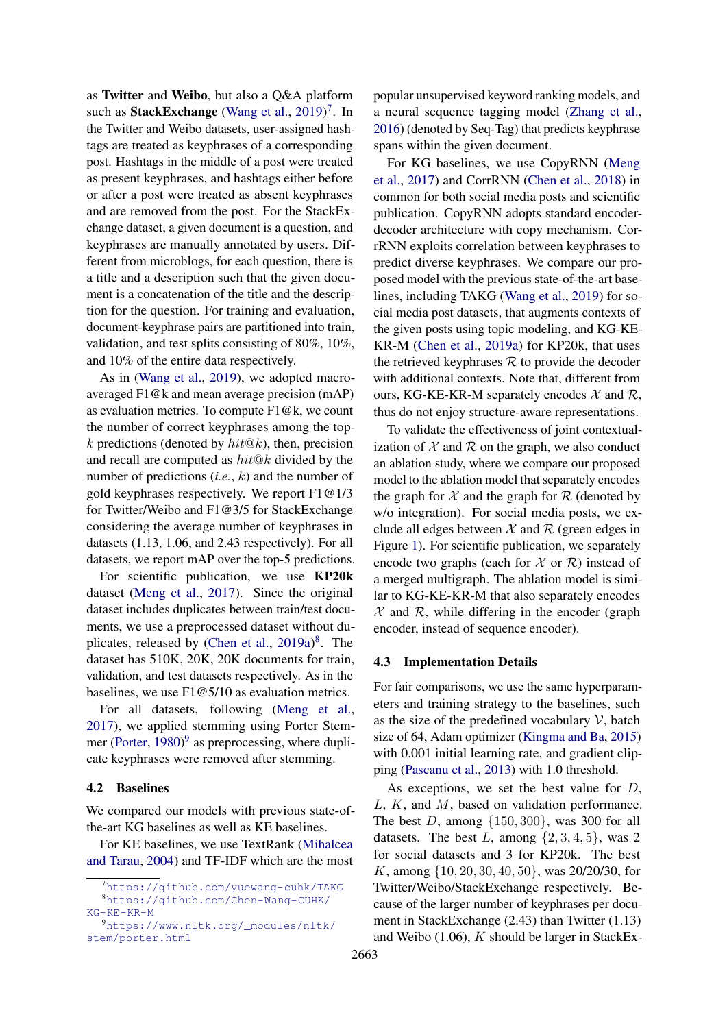as Twitter and Weibo, but also a Q&A platform such as StackExchange [\(Wang et al.,](#page-10-3) [2019\)](#page-10-3)<sup>[7](#page-6-0)</sup>. In the Twitter and Weibo datasets, user-assigned hashtags are treated as keyphrases of a corresponding post. Hashtags in the middle of a post were treated as present keyphrases, and hashtags either before or after a post were treated as absent keyphrases and are removed from the post. For the StackExchange dataset, a given document is a question, and keyphrases are manually annotated by users. Different from microblogs, for each question, there is a title and a description such that the given document is a concatenation of the title and the description for the question. For training and evaluation, document-keyphrase pairs are partitioned into train, validation, and test splits consisting of 80%, 10%, and 10% of the entire data respectively.

As in [\(Wang et al.,](#page-10-3) [2019\)](#page-10-3), we adopted macroaveraged F1@k and mean average precision (mAP) as evaluation metrics. To compute F1@k, we count the number of correct keyphrases among the topk predictions (denoted by  $hit@k$ ), then, precision and recall are computed as  $hit@k$  divided by the number of predictions (*i.e.*, k) and the number of gold keyphrases respectively. We report F1@1/3 for Twitter/Weibo and F1@3/5 for StackExchange considering the average number of keyphrases in datasets (1.13, 1.06, and 2.43 respectively). For all datasets, we report mAP over the top-5 predictions.

For scientific publication, we use KP20k dataset [\(Meng et al.,](#page-9-0) [2017\)](#page-9-0). Since the original dataset includes duplicates between train/test documents, we use a preprocessed dataset without du-plicates, released by [\(Chen et al.,](#page-8-1) [2019a\)](#page-8-1)<sup>[8](#page-6-1)</sup>. The dataset has 510K, 20K, 20K documents for train, validation, and test datasets respectively. As in the baselines, we use F1@5/10 as evaluation metrics.

For all datasets, following [\(Meng et al.,](#page-9-0) [2017\)](#page-9-0), we applied stemming using Porter Stem-mer [\(Porter,](#page-9-14) [1980\)](#page-9-14)<sup>[9](#page-6-2)</sup> as preprocessing, where duplicate keyphrases were removed after stemming.

#### 4.2 Baselines

We compared our models with previous state-ofthe-art KG baselines as well as KE baselines.

For KE baselines, we use TextRank [\(Mihalcea](#page-9-15) [and Tarau,](#page-9-15) [2004\)](#page-9-15) and TF-IDF which are the most popular unsupervised keyword ranking models, and a neural sequence tagging model [\(Zhang et al.,](#page-10-7) [2016\)](#page-10-7) (denoted by Seq-Tag) that predicts keyphrase spans within the given document.

For KG baselines, we use CopyRNN [\(Meng](#page-9-0) [et al.,](#page-9-0) [2017\)](#page-9-0) and CorrRNN [\(Chen et al.,](#page-8-3) [2018\)](#page-8-3) in common for both social media posts and scientific publication. CopyRNN adopts standard encoderdecoder architecture with copy mechanism. CorrRNN exploits correlation between keyphrases to predict diverse keyphrases. We compare our proposed model with the previous state-of-the-art baselines, including TAKG [\(Wang et al.,](#page-10-3) [2019\)](#page-10-3) for social media post datasets, that augments contexts of the given posts using topic modeling, and KG-KE-KR-M [\(Chen et al.,](#page-8-1) [2019a\)](#page-8-1) for KP20k, that uses the retrieved keyphrases  $R$  to provide the decoder with additional contexts. Note that, different from ours, KG-KE-KR-M separately encodes  $X$  and  $\mathcal{R}$ , thus do not enjoy structure-aware representations.

To validate the effectiveness of joint contextualization of  $X$  and  $\mathcal R$  on the graph, we also conduct an ablation study, where we compare our proposed model to the ablation model that separately encodes the graph for  $\mathcal X$  and the graph for  $\mathcal R$  (denoted by w/o integration). For social media posts, we exclude all edges between  $X$  and  $R$  (green edges in Figure [1\)](#page-3-3). For scientific publication, we separately encode two graphs (each for  $\mathcal X$  or  $\mathcal R$ ) instead of a merged multigraph. The ablation model is similar to KG-KE-KR-M that also separately encodes  $X$  and  $\mathcal R$ , while differing in the encoder (graph encoder, instead of sequence encoder).

# 4.3 Implementation Details

For fair comparisons, we use the same hyperparameters and training strategy to the baselines, such as the size of the predefined vocabulary  $V$ , batch size of 64, Adam optimizer [\(Kingma and Ba,](#page-9-16) [2015\)](#page-9-16) with 0.001 initial learning rate, and gradient clipping [\(Pascanu et al.,](#page-9-17) [2013\)](#page-9-17) with 1.0 threshold.

As exceptions, we set the best value for  $D$ ,  $L, K$ , and  $M$ , based on validation performance. The best D, among  $\{150, 300\}$ , was 300 for all datasets. The best L, among  $\{2, 3, 4, 5\}$ , was 2 for social datasets and 3 for KP20k. The best K, among {10, 20, 30, 40, 50}, was 20/20/30, for Twitter/Weibo/StackExchange respectively. Because of the larger number of keyphrases per document in StackExchange (2.43) than Twitter (1.13) and Weibo  $(1.06)$ , K should be larger in StackEx-

<span id="page-6-1"></span><span id="page-6-0"></span><sup>7</sup><https://github.com/yuewang-cuhk/TAKG> <sup>8</sup>[https://github.com/Chen-Wang-CUHK/](https://github.com/Chen-Wang-CUHK/KG-KE-KR-M)

<span id="page-6-2"></span>[KG-KE-KR-M](https://github.com/Chen-Wang-CUHK/KG-KE-KR-M) <sup>9</sup>[https://www.nltk.org/\\_modules/nltk/](https://www.nltk.org/_modules/nltk/stem/porter.html)

[stem/porter.html](https://www.nltk.org/_modules/nltk/stem/porter.html)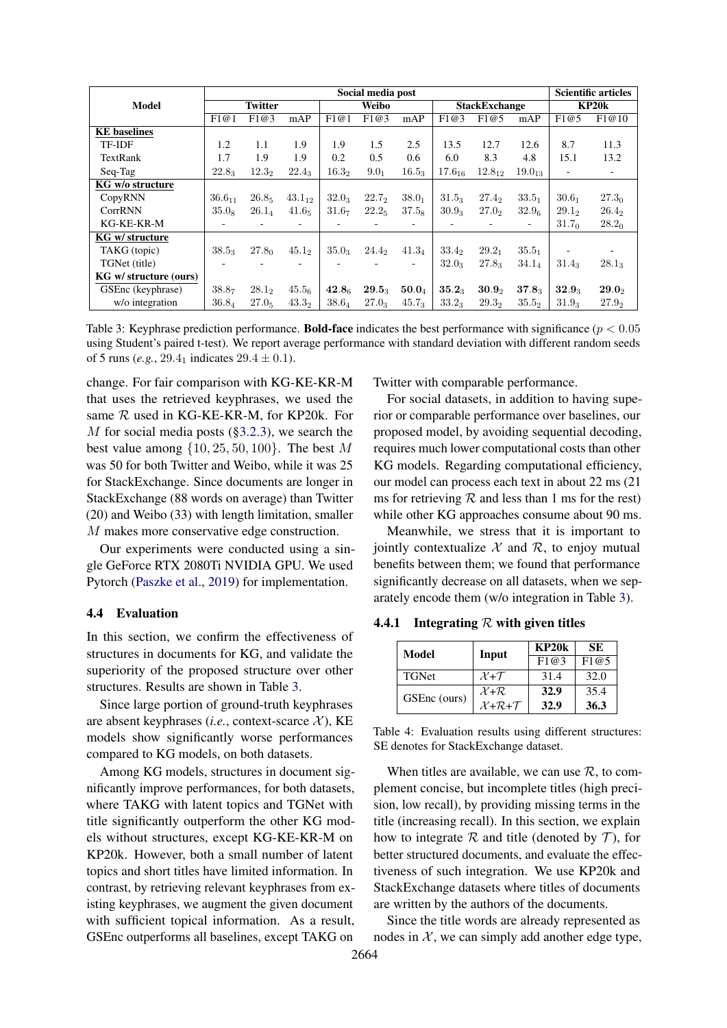<span id="page-7-1"></span>

|                        | Social media post        |                   |                   |                   |                      | <b>Scientific articles</b> |             |                   |                   |                   |                          |
|------------------------|--------------------------|-------------------|-------------------|-------------------|----------------------|----------------------------|-------------|-------------------|-------------------|-------------------|--------------------------|
| Model                  | <b>Twitter</b>           |                   | Weibo             |                   | <b>StackExchange</b> |                            | KP20k       |                   |                   |                   |                          |
|                        | F1@1                     | F1@3              | mAP               | F1@1              | F1@3                 | mAP                        | F1@3        | F1@5              | mAP               | F1@5              | F1@10                    |
| <b>KE</b> baselines    |                          |                   |                   |                   |                      |                            |             |                   |                   |                   |                          |
| TF-IDF                 | 1.2                      | 1.1               | 1.9               | 1.9               | 1.5                  | 2.5                        | 13.5        | 12.7              | 12.6              | 8.7               | 11.3                     |
| TextRank               | 1.7                      | 1.9               | 1.9               | 0.2               | 0.5                  | $0.6^{\circ}$              | 6.0         | 8.3               | 4.8               | 15.1              | 13.2                     |
| Seq-Tag                | $22.8_3$                 | 12.3 <sub>2</sub> | $22.4_3$          | 16.3 <sub>2</sub> | 9.0 <sub>1</sub>     | $16.5_3$                   | $17.6_{16}$ | $12.8_{12}$       | $19.0_{13}$       | ٠                 | $\overline{\phantom{a}}$ |
| KG w/o structure       |                          |                   |                   |                   |                      |                            |             |                   |                   |                   |                          |
| CopyRNN                | $36.6_{11}$              | 26.85             | $43.1_{12}$       | 32.0 <sub>3</sub> | $22.7_2$             | 38.0 <sub>1</sub>          | $31.5_3$    | $27.4_2$          | $33.5_1$          | 30.6 <sub>1</sub> | 27.3 <sub>0</sub>        |
| CorrRNN                | $35.0_8$                 | $26.1_{4}$        | 41.6 <sub>5</sub> | 31.6 <sub>7</sub> | 22.2 <sub>5</sub>    | 37.5 <sub>8</sub>          | $30.9_3$    | 27.0 <sub>2</sub> | 32.9 <sub>6</sub> | $29.1_2$          | $26.4_2$                 |
| KG-KE-KR-M             | ۰                        |                   |                   |                   |                      | ٠                          |             |                   | $\sim$            | 31.7 <sub>0</sub> | 28.2 <sub>0</sub>        |
| KG w/ structure        |                          |                   |                   |                   |                      |                            |             |                   |                   |                   |                          |
| TAKG (topic)           | $38.5_3$                 | 27.8 <sub>0</sub> | 45.1 <sub>2</sub> | $35.0_3$          | $24.4_2$             | $41.3_4$                   | $33.4_2$    | 29.2 <sub>1</sub> | $35.5_1$          |                   |                          |
| TGNet (title)          | $\overline{\phantom{0}}$ |                   |                   |                   |                      | $\overline{\phantom{0}}$   | $32.0_3$    | $27.8_3$          | $34.1_{4}$        | $31.4_3$          | $28.1_3$                 |
| KG w/ structure (ours) |                          |                   |                   |                   |                      |                            |             |                   |                   |                   |                          |
| GSEnc (keyphrase)      | $38.8_7$                 | $28.1_2$          | 45.5 <sub>6</sub> | 42.8 <sub>6</sub> | $29.5_3$             | $\mathbf{50.0}_{4}$        | $35.2_3$    | 30.9 <sub>2</sub> | $37.8_3$          | 32.9 <sub>3</sub> | $29.0_2$                 |
| w/o integration        | $36.8_4$                 | 27.0 <sub>5</sub> | 43.3 <sub>2</sub> | 38.64             | $27.0_3$             | $45.7_3$                   | $33.2_3$    | $29.3_2$          | 35.5 <sub>2</sub> | $31.9_3$          | $27.9_2$                 |

Table 3: Keyphrase prediction performance. **Bold-face** indicates the best performance with significance ( $p < 0.05$ ) using Student's paired t-test). We report average performance with standard deviation with different random seeds of 5 runs (*e.g.*, 29.4<sub>1</sub> indicates  $29.4 \pm 0.1$ ).

change. For fair comparison with KG-KE-KR-M that uses the retrieved keyphrases, we used the same R used in KG-KE-KR-M, for KP20k. For M for social media posts ([§3.2.3\)](#page-3-1), we search the best value among  $\{10, 25, 50, 100\}$ . The best M was 50 for both Twitter and Weibo, while it was 25 for StackExchange. Since documents are longer in StackExchange (88 words on average) than Twitter (20) and Weibo (33) with length limitation, smaller M makes more conservative edge construction.

Our experiments were conducted using a single GeForce RTX 2080Ti NVIDIA GPU. We used Pytorch [\(Paszke et al.,](#page-9-18) [2019\)](#page-9-18) for implementation.

### 4.4 Evaluation

In this section, we confirm the effectiveness of structures in documents for KG, and validate the superiority of the proposed structure over other structures. Results are shown in Table [3.](#page-7-1)

Since large portion of ground-truth keyphrases are absent keyphrases (*i.e.*, context-scarce  $X$ ), KE models show significantly worse performances compared to KG models, on both datasets.

Among KG models, structures in document significantly improve performances, for both datasets, where TAKG with latent topics and TGNet with title significantly outperform the other KG models without structures, except KG-KE-KR-M on KP20k. However, both a small number of latent topics and short titles have limited information. In contrast, by retrieving relevant keyphrases from existing keyphrases, we augment the given document with sufficient topical information. As a result, GSEnc outperforms all baselines, except TAKG on

Twitter with comparable performance.

For social datasets, in addition to having superior or comparable performance over baselines, our proposed model, by avoiding sequential decoding, requires much lower computational costs than other KG models. Regarding computational efficiency, our model can process each text in about 22 ms (21 ms for retrieving  $R$  and less than 1 ms for the rest) while other KG approaches consume about 90 ms.

Meanwhile, we stress that it is important to jointly contextualize  $X$  and  $\mathcal{R}$ , to enjoy mutual benefits between them; we found that performance significantly decrease on all datasets, when we separately encode them (w/o integration in Table [3\)](#page-7-1).

<span id="page-7-2"></span><span id="page-7-0"></span>4.4.1 Integrating  $R$  with given titles

| Model        | Input                                 | KP20k | SE.  |  |
|--------------|---------------------------------------|-------|------|--|
|              |                                       | F1@3  | F1@5 |  |
| <b>TGNet</b> | $\chi$ + $\tau$                       | 31.4  | 32.O |  |
| GSEnc (ours) | $\chi_{+R}$                           | 32.9  | 35.4 |  |
|              | $\mathcal{X}+\mathcal{R}+\mathcal{T}$ | 32.9  | 36.3 |  |

Table 4: Evaluation results using different structures: SE denotes for StackExchange dataset.

When titles are available, we can use  $R$ , to complement concise, but incomplete titles (high precision, low recall), by providing missing terms in the title (increasing recall). In this section, we explain how to integrate  $\mathcal R$  and title (denoted by  $\mathcal T$ ), for better structured documents, and evaluate the effectiveness of such integration. We use KP20k and StackExchange datasets where titles of documents are written by the authors of the documents.

Since the title words are already represented as nodes in  $X$ , we can simply add another edge type,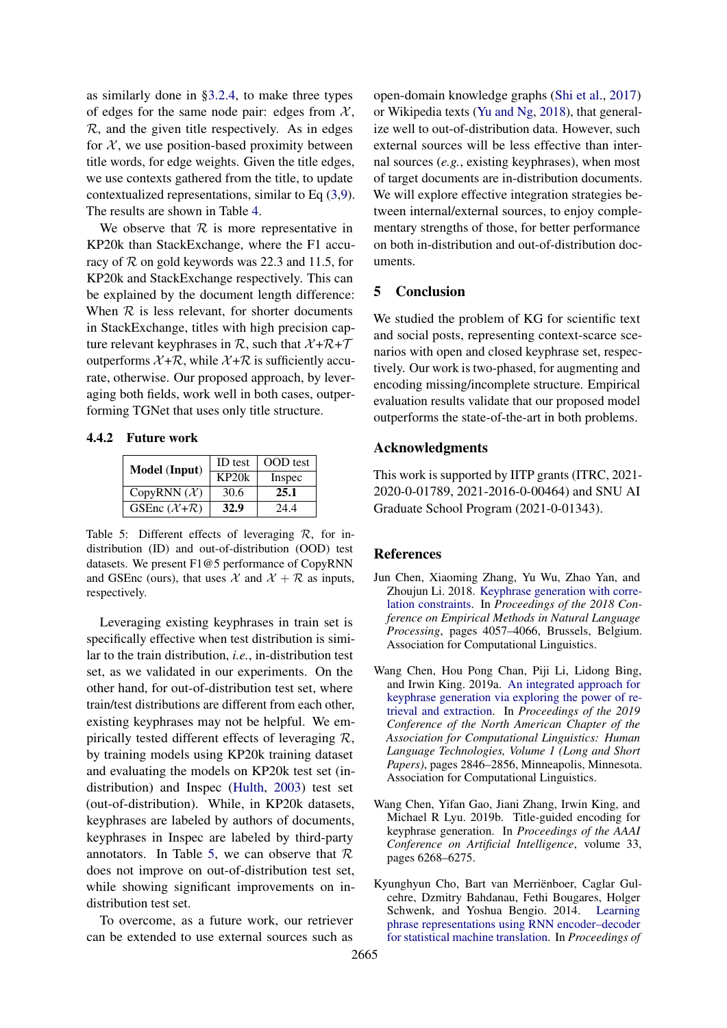as similarly done in [§3.2.4,](#page-4-0) to make three types of edges for the same node pair: edges from  $\mathcal{X}$ ,  $\mathcal{R}$ , and the given title respectively. As in edges for  $X$ , we use position-based proximity between title words, for edge weights. Given the title edges, we use contexts gathered from the title, to update contextualized representations, similar to Eq [\(3,](#page-2-2)[9\)](#page-4-3). The results are shown in Table [4.](#page-7-2)

We observe that  $R$  is more representative in KP20k than StackExchange, where the F1 accuracy of  $\mathcal R$  on gold keywords was 22.3 and 11.5, for KP20k and StackExchange respectively. This can be explained by the document length difference: When  $R$  is less relevant, for shorter documents in StackExchange, titles with high precision capture relevant keyphrases in  $\mathcal{R}$ , such that  $\mathcal{X} + \mathcal{R} + \mathcal{T}$ outperforms  $X + \mathcal{R}$ , while  $X + \mathcal{R}$  is sufficiently accurate, otherwise. Our proposed approach, by leveraging both fields, work well in both cases, outperforming TGNet that uses only title structure.

<span id="page-8-4"></span>4.4.2 Future work

| <b>Model</b> (Input)              | <b>ID</b> test | <b>OOD</b> test |  |
|-----------------------------------|----------------|-----------------|--|
|                                   | KP20k          | Inspec          |  |
| CopyRNN $(\mathcal{X})$           | 30.6           | 25.1            |  |
| GSEnc $(\mathcal{X}+\mathcal{R})$ | 32.9           | 24.4            |  |

Table 5: Different effects of leveraging R, for indistribution (ID) and out-of-distribution (OOD) test datasets. We present F1@5 performance of CopyRNN and GSEnc (ours), that uses  $\mathcal{X}$  and  $\mathcal{X} + \mathcal{R}$  as inputs, respectively.

Leveraging existing keyphrases in train set is specifically effective when test distribution is similar to the train distribution, *i.e.*, in-distribution test set, as we validated in our experiments. On the other hand, for out-of-distribution test set, where train/test distributions are different from each other, existing keyphrases may not be helpful. We empirically tested different effects of leveraging  $\mathcal{R}$ , by training models using KP20k training dataset and evaluating the models on KP20k test set (indistribution) and Inspec [\(Hulth,](#page-9-19) [2003\)](#page-9-19) test set (out-of-distribution). While, in KP20k datasets, keyphrases are labeled by authors of documents, keyphrases in Inspec are labeled by third-party annotators. In Table [5,](#page-8-4) we can observe that  $\mathcal R$ does not improve on out-of-distribution test set, while showing significant improvements on indistribution test set.

To overcome, as a future work, our retriever can be extended to use external sources such as

open-domain knowledge graphs [\(Shi et al.,](#page-10-8) [2017\)](#page-10-8) or Wikipedia texts [\(Yu and Ng,](#page-10-9) [2018\)](#page-10-9), that generalize well to out-of-distribution data. However, such external sources will be less effective than internal sources (*e.g.*, existing keyphrases), when most of target documents are in-distribution documents. We will explore effective integration strategies between internal/external sources, to enjoy complementary strengths of those, for better performance on both in-distribution and out-of-distribution documents.

### 5 Conclusion

We studied the problem of KG for scientific text and social posts, representing context-scarce scenarios with open and closed keyphrase set, respectively. Our work is two-phased, for augmenting and encoding missing/incomplete structure. Empirical evaluation results validate that our proposed model outperforms the state-of-the-art in both problems.

### Acknowledgments

This work is supported by IITP grants (ITRC, 2021- 2020-0-01789, 2021-2016-0-00464) and SNU AI Graduate School Program (2021-0-01343).

### References

- <span id="page-8-3"></span>Jun Chen, Xiaoming Zhang, Yu Wu, Zhao Yan, and Zhoujun Li. 2018. [Keyphrase generation with corre](https://doi.org/10.18653/v1/D18-1439)[lation constraints.](https://doi.org/10.18653/v1/D18-1439) In *Proceedings of the 2018 Conference on Empirical Methods in Natural Language Processing*, pages 4057–4066, Brussels, Belgium. Association for Computational Linguistics.
- <span id="page-8-1"></span>Wang Chen, Hou Pong Chan, Piji Li, Lidong Bing, and Irwin King. 2019a. [An integrated approach for](https://doi.org/10.18653/v1/N19-1292) [keyphrase generation via exploring the power of re](https://doi.org/10.18653/v1/N19-1292)[trieval and extraction.](https://doi.org/10.18653/v1/N19-1292) In *Proceedings of the 2019 Conference of the North American Chapter of the Association for Computational Linguistics: Human Language Technologies, Volume 1 (Long and Short Papers)*, pages 2846–2856, Minneapolis, Minnesota. Association for Computational Linguistics.
- <span id="page-8-0"></span>Wang Chen, Yifan Gao, Jiani Zhang, Irwin King, and Michael R Lyu. 2019b. Title-guided encoding for keyphrase generation. In *Proceedings of the AAAI Conference on Artificial Intelligence*, volume 33, pages 6268–6275.
- <span id="page-8-2"></span>Kyunghyun Cho, Bart van Merriënboer, Caglar Gulcehre, Dzmitry Bahdanau, Fethi Bougares, Holger Schwenk, and Yoshua Bengio. 2014. [Learning](https://doi.org/10.3115/v1/D14-1179) [phrase representations using RNN encoder–decoder](https://doi.org/10.3115/v1/D14-1179) [for statistical machine translation.](https://doi.org/10.3115/v1/D14-1179) In *Proceedings of*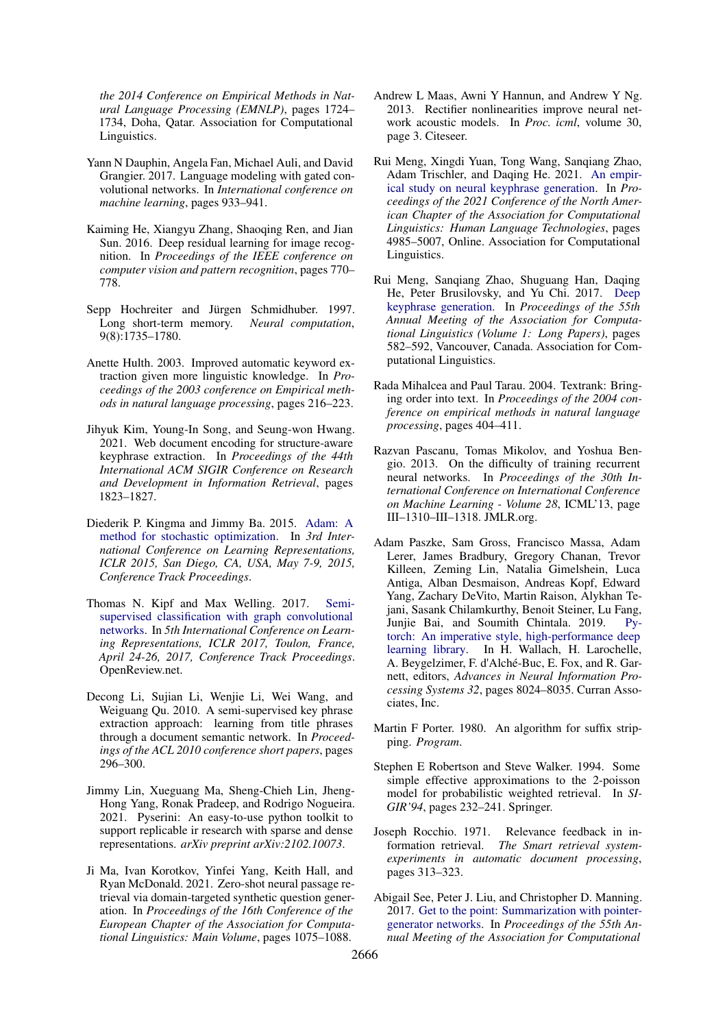*the 2014 Conference on Empirical Methods in Natural Language Processing (EMNLP)*, pages 1724– 1734, Doha, Qatar. Association for Computational Linguistics.

- <span id="page-9-6"></span>Yann N Dauphin, Angela Fan, Michael Auli, and David Grangier. 2017. Language modeling with gated convolutional networks. In *International conference on machine learning*, pages 933–941.
- <span id="page-9-7"></span>Kaiming He, Xiangyu Zhang, Shaoqing Ren, and Jian Sun. 2016. Deep residual learning for image recognition. In *Proceedings of the IEEE conference on computer vision and pattern recognition*, pages 770– 778.
- <span id="page-9-4"></span>Sepp Hochreiter and Jürgen Schmidhuber. 1997. Long short-term memory. *Neural computation*, 9(8):1735–1780.
- <span id="page-9-19"></span>Anette Hulth. 2003. Improved automatic keyword extraction given more linguistic knowledge. In *Proceedings of the 2003 conference on Empirical methods in natural language processing*, pages 216–223.
- <span id="page-9-1"></span>Jihyuk Kim, Young-In Song, and Seung-won Hwang. 2021. Web document encoding for structure-aware keyphrase extraction. In *Proceedings of the 44th International ACM SIGIR Conference on Research and Development in Information Retrieval*, pages 1823–1827.
- <span id="page-9-16"></span>Diederik P. Kingma and Jimmy Ba. 2015. [Adam: A](http://arxiv.org/abs/1412.6980) [method for stochastic optimization.](http://arxiv.org/abs/1412.6980) In *3rd International Conference on Learning Representations, ICLR 2015, San Diego, CA, USA, May 7-9, 2015, Conference Track Proceedings*.
- <span id="page-9-5"></span>Thomas N. Kipf and Max Welling. 2017. [Semi](https://openreview.net/forum?id=SJU4ayYgl)[supervised classification with graph convolutional](https://openreview.net/forum?id=SJU4ayYgl) [networks.](https://openreview.net/forum?id=SJU4ayYgl) In *5th International Conference on Learning Representations, ICLR 2017, Toulon, France, April 24-26, 2017, Conference Track Proceedings*. OpenReview.net.
- <span id="page-9-3"></span>Decong Li, Sujian Li, Wenjie Li, Wei Wang, and Weiguang Qu. 2010. A semi-supervised key phrase extraction approach: learning from title phrases through a document semantic network. In *Proceedings of the ACL 2010 conference short papers*, pages 296–300.
- <span id="page-9-9"></span>Jimmy Lin, Xueguang Ma, Sheng-Chieh Lin, Jheng-Hong Yang, Ronak Pradeep, and Rodrigo Nogueira. 2021. Pyserini: An easy-to-use python toolkit to support replicable ir research with sparse and dense representations. *arXiv preprint arXiv:2102.10073*.
- <span id="page-9-10"></span>Ji Ma, Ivan Korotkov, Yinfei Yang, Keith Hall, and Ryan McDonald. 2021. Zero-shot neural passage retrieval via domain-targeted synthetic question generation. In *Proceedings of the 16th Conference of the European Chapter of the Association for Computational Linguistics: Main Volume*, pages 1075–1088.
- <span id="page-9-12"></span>Andrew L Maas, Awni Y Hannun, and Andrew Y Ng. 2013. Rectifier nonlinearities improve neural network acoustic models. In *Proc. icml*, volume 30, page 3. Citeseer.
- <span id="page-9-2"></span>Rui Meng, Xingdi Yuan, Tong Wang, Sanqiang Zhao, Adam Trischler, and Daqing He. 2021. [An empir](https://doi.org/10.18653/v1/2021.naacl-main.396)[ical study on neural keyphrase generation.](https://doi.org/10.18653/v1/2021.naacl-main.396) In *Proceedings of the 2021 Conference of the North American Chapter of the Association for Computational Linguistics: Human Language Technologies*, pages 4985–5007, Online. Association for Computational Linguistics.
- <span id="page-9-0"></span>Rui Meng, Sanqiang Zhao, Shuguang Han, Daqing He, Peter Brusilovsky, and Yu Chi. 2017. [Deep](https://doi.org/10.18653/v1/P17-1054) [keyphrase generation.](https://doi.org/10.18653/v1/P17-1054) In *Proceedings of the 55th Annual Meeting of the Association for Computational Linguistics (Volume 1: Long Papers)*, pages 582–592, Vancouver, Canada. Association for Computational Linguistics.
- <span id="page-9-15"></span>Rada Mihalcea and Paul Tarau. 2004. Textrank: Bringing order into text. In *Proceedings of the 2004 conference on empirical methods in natural language processing*, pages 404–411.
- <span id="page-9-17"></span>Razvan Pascanu, Tomas Mikolov, and Yoshua Bengio. 2013. On the difficulty of training recurrent neural networks. In *Proceedings of the 30th International Conference on International Conference on Machine Learning - Volume 28*, ICML'13, page III–1310–III–1318. JMLR.org.
- <span id="page-9-18"></span>Adam Paszke, Sam Gross, Francisco Massa, Adam Lerer, James Bradbury, Gregory Chanan, Trevor Killeen, Zeming Lin, Natalia Gimelshein, Luca Antiga, Alban Desmaison, Andreas Kopf, Edward Yang, Zachary DeVito, Martin Raison, Alykhan Tejani, Sasank Chilamkurthy, Benoit Steiner, Lu Fang, Junjie Bai, and Soumith Chintala. 2019. [Py](http://papers.neurips.cc/paper/9015-pytorch-an-imperative-style-high-performance-deep-learning-library.pdf)[torch: An imperative style, high-performance deep](http://papers.neurips.cc/paper/9015-pytorch-an-imperative-style-high-performance-deep-learning-library.pdf) [learning library.](http://papers.neurips.cc/paper/9015-pytorch-an-imperative-style-high-performance-deep-learning-library.pdf) In H. Wallach, H. Larochelle, A. Beygelzimer, F. d'Alché-Buc, E. Fox, and R. Garnett, editors, *Advances in Neural Information Processing Systems 32*, pages 8024–8035. Curran Associates, Inc.
- <span id="page-9-14"></span>Martin F Porter. 1980. An algorithm for suffix stripping. *Program*.
- <span id="page-9-8"></span>Stephen E Robertson and Steve Walker. 1994. Some simple effective approximations to the 2-poisson model for probabilistic weighted retrieval. In *SI-GIR'94*, pages 232–241. Springer.
- <span id="page-9-11"></span>Joseph Rocchio. 1971. Relevance feedback in information retrieval. *The Smart retrieval systemexperiments in automatic document processing*, pages 313–323.
- <span id="page-9-13"></span>Abigail See, Peter J. Liu, and Christopher D. Manning. 2017. [Get to the point: Summarization with pointer](https://doi.org/10.18653/v1/P17-1099)[generator networks.](https://doi.org/10.18653/v1/P17-1099) In *Proceedings of the 55th Annual Meeting of the Association for Computational*